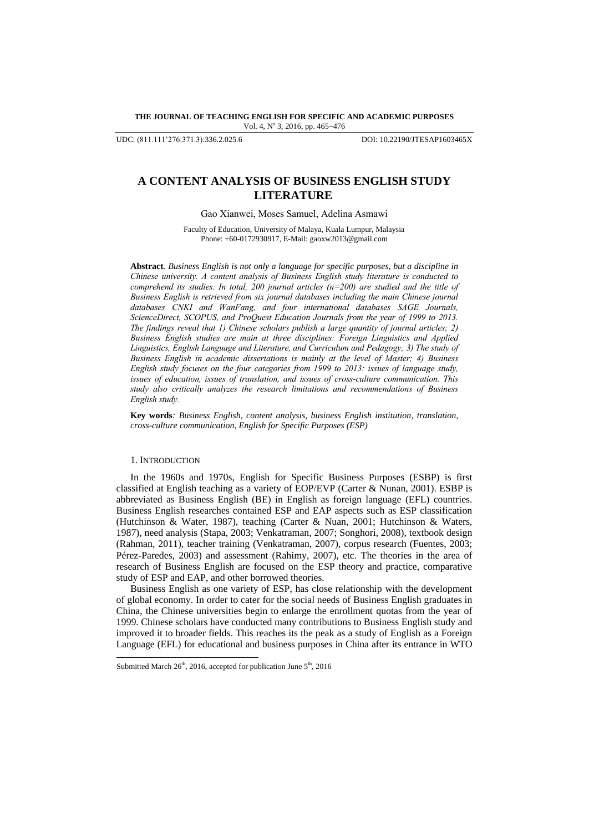**THE JOURNAL OF TEACHING ENGLISH FOR SPECIFIC AND ACADEMIC PURPOSES** Vol. 4, Nº 3, 2016, pp. 465-476

UDC: (811.111'276:371.3):336.2.025.6 DOI: 10.22190/JTESAP1603465X

# **A CONTENT ANALYSIS OF BUSINESS ENGLISH STUDY LITERATURE**

Gao Xianwei, Moses Samuel, Adelina Asmawi

Faculty of Education, University of Malaya, Kuala Lumpur, Malaysia Phone: +60-0172930917, E-Mail[: gaoxw2013@gmail.co](mailto:shamala@upm.edu.my)m

**Abstract***. Business English is not only a language for specific purposes, but a discipline in Chinese university. A content analysis of Business English study literature is conducted to comprehend its studies. In total, 200 journal articles (n=200) are studied and the title of Business English is retrieved from six journal databases including the main Chinese journal databases CNKI and WanFang, and four international databases SAGE Journals, ScienceDirect, SCOPUS, and ProQuest Education Journals from the year of 1999 to 2013. The findings reveal that 1) Chinese scholars publish a large quantity of journal articles; 2) Business English studies are main at three disciplines: Foreign Linguistics and Applied Linguistics, English Language and Literature, and Curriculum and Pedagogy; 3) The study of Business English in academic dissertations is mainly at the level of Master; 4) Business English study focuses on the four categories from 1999 to 2013: issues of language study, issues of education, issues of translation, and issues of cross-culture communication. This study also critically analyzes the research limitations and recommendations of Business English study.*

**Key words***: Business English, content analysis, business English institution, translation, cross-culture communication, English for Specific Purposes (ESP)*

#### 1. INTRODUCTION

-

In the 1960s and 1970s, English for Specific Business Purposes (ESBP) is first classified at English teaching as a variety of EOP/EVP (Carter & Nunan, 2001). ESBP is abbreviated as Business English (BE) in English as foreign language (EFL) countries. Business English researches contained ESP and EAP aspects such as ESP classification (Hutchinson & Water, 1987), teaching (Carter & Nuan, 2001; Hutchinson & Waters, 1987), need analysis (Stapa, 2003; Venkatraman, 2007; Songhori, 2008), textbook design (Rahman, 2011), teacher training (Venkatraman, 2007), corpus research (Fuentes, 2003; Pérez-Paredes, 2003) and assessment (Rahimy, 2007), etc. The theories in the area of research of Business English are focused on the ESP theory and practice, comparative study of ESP and EAP, and other borrowed theories.

Business English as one variety of ESP, has close relationship with the development of global economy. In order to cater for the social needs of Business English graduates in China, the Chinese universities begin to enlarge the enrollment quotas from the year of 1999. Chinese scholars have conducted many contributions to Business English study and improved it to broader fields. This reaches its the peak as a study of English as a Foreign Language (EFL) for educational and business purposes in China after its entrance in WTO

Submitted March  $26<sup>th</sup>$ , 2016, accepted for publication June  $5<sup>th</sup>$ , 2016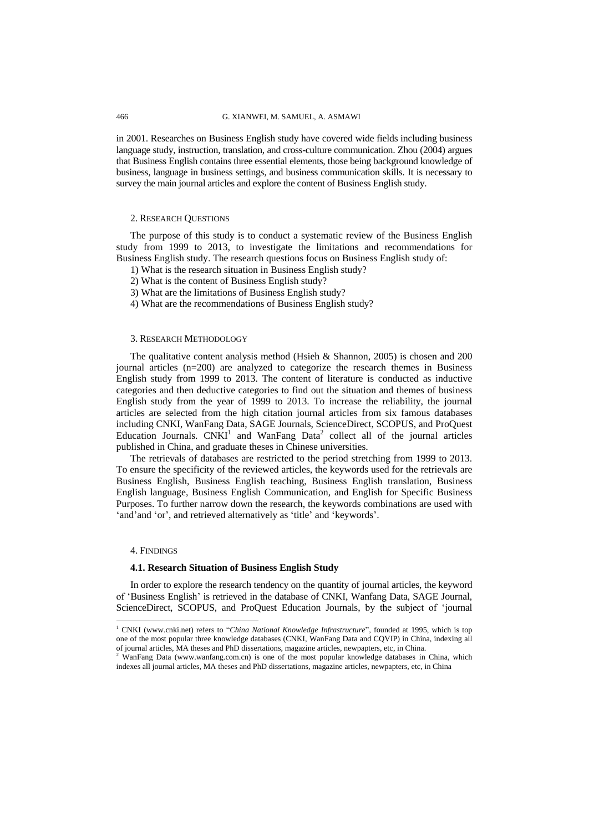in 2001. Researches on Business English study have covered wide fields including business language study, instruction, translation, and cross-culture communication. Zhou (2004) argues that Business English contains three essential elements, those being background knowledge of business, language in business settings, and business communication skills. It is necessary to survey the main journal articles and explore the content of Business English study.

### 2. RESEARCH QUESTIONS

The purpose of this study is to conduct a systematic review of the Business English study from 1999 to 2013, to investigate the limitations and recommendations for Business English study. The research questions focus on Business English study of:

- 1) What is the research situation in Business English study?
- 2) What is the content of Business English study?
- 3) What are the limitations of Business English study?
- 4) What are the recommendations of Business English study?

#### 3. RESEARCH METHODOLOGY

The qualitative content analysis method (Hsieh & Shannon, 2005) is chosen and 200 journal articles (n=200) are analyzed to categorize the research themes in Business English study from 1999 to 2013. The content of literature is conducted as inductive categories and then deductive categories to find out the situation and themes of business English study from the year of 1999 to 2013. To increase the reliability, the journal articles are selected from the high citation journal articles from six famous databases including CNKI, WanFang Data, SAGE Journals, ScienceDirect, SCOPUS, and ProQuest Education Journals.  $CNKI<sup>1</sup>$  and WanFang Data<sup>2</sup> collect all of the journal articles published in China, and graduate theses in Chinese universities.

The retrievals of databases are restricted to the period stretching from 1999 to 2013. To ensure the specificity of the reviewed articles, the keywords used for the retrievals are Business English, Business English teaching, Business English translation, Business English language, Business English Communication, and English for Specific Business Purposes. To further narrow down the research, the keywords combinations are used with 'and'and 'or', and retrieved alternatively as 'title' and 'keywords'.

### 4. FINDINGS

l

#### **4.1. Research Situation of Business English Study**

In order to explore the research tendency on the quantity of journal articles, the keyword of "Business English" is retrieved in the database of CNKI, Wanfang Data, SAGE Journal, ScienceDirect, SCOPUS, and ProQuest Education Journals, by the subject of "journal

<sup>1</sup> CNKI (www.cnki.net) refers to "*China National Knowledge Infrastructure*", founded at 1995, which is top one of the most popular three knowledge databases (CNKI, WanFang Data and CQVIP) in China, indexing all of journal articles, MA theses and PhD dissertations, magazine articles, newpapters, etc, in China.

<sup>&</sup>lt;sup>2</sup> WanFang Data (www.wanfang.com.cn) is one of the most popular knowledge databases in China, which indexes all journal articles, MA theses and PhD dissertations, magazine articles, newpapters, etc, in China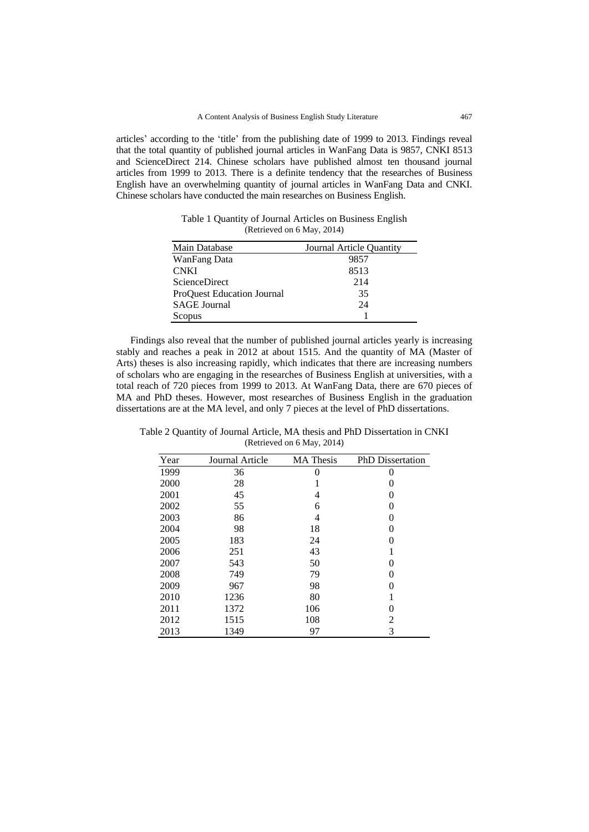articles" according to the "title" from the publishing date of 1999 to 2013. Findings reveal that the total quantity of published journal articles in WanFang Data is 9857, CNKI 8513 and ScienceDirect 214. Chinese scholars have published almost ten thousand journal articles from 1999 to 2013. There is a definite tendency that the researches of Business English have an overwhelming quantity of journal articles in WanFang Data and CNKI. Chinese scholars have conducted the main researches on Business English.

Table 1 Quantity of Journal Articles on Business English (Retrieved on 6 May, 2014)

| Main Database                     | Journal Article Quantity |  |
|-----------------------------------|--------------------------|--|
| WanFang Data                      | 9857                     |  |
| <b>CNKI</b>                       | 8513                     |  |
| <b>ScienceDirect</b>              | 214                      |  |
| <b>ProOuest Education Journal</b> | 35                       |  |
| <b>SAGE</b> Journal               | 24                       |  |
| Scopus                            |                          |  |

Findings also reveal that the number of published journal articles yearly is increasing stably and reaches a peak in 2012 at about 1515. And the quantity of MA (Master of Arts) theses is also increasing rapidly, which indicates that there are increasing numbers of scholars who are engaging in the researches of Business English at universities, with a total reach of 720 pieces from 1999 to 2013. At WanFang Data, there are 670 pieces of MA and PhD theses. However, most researches of Business English in the graduation dissertations are at the MA level, and only 7 pieces at the level of PhD dissertations.

Table 2 Quantity of Journal Article, MA thesis and PhD Dissertation in CNKI (Retrieved on 6 May, 2014)

| Year | Journal Article | <b>MA</b> Thesis | <b>PhD</b> Dissertation |
|------|-----------------|------------------|-------------------------|
| 1999 | 36              | 0                | 0                       |
| 2000 | 28              |                  | 0                       |
| 2001 | 45              | 4                | 0                       |
| 2002 | 55              | 6                | 0                       |
| 2003 | 86              | 4                | 0                       |
| 2004 | 98              | 18               | 0                       |
| 2005 | 183             | 24               | 0                       |
| 2006 | 251             | 43               | 1                       |
| 2007 | 543             | 50               | 0                       |
| 2008 | 749             | 79               | 0                       |
| 2009 | 967             | 98               | 0                       |
| 2010 | 1236            | 80               | 1                       |
| 2011 | 1372            | 106              | 0                       |
| 2012 | 1515            | 108              | 2                       |
| 2013 | 1349            | 97               | 3                       |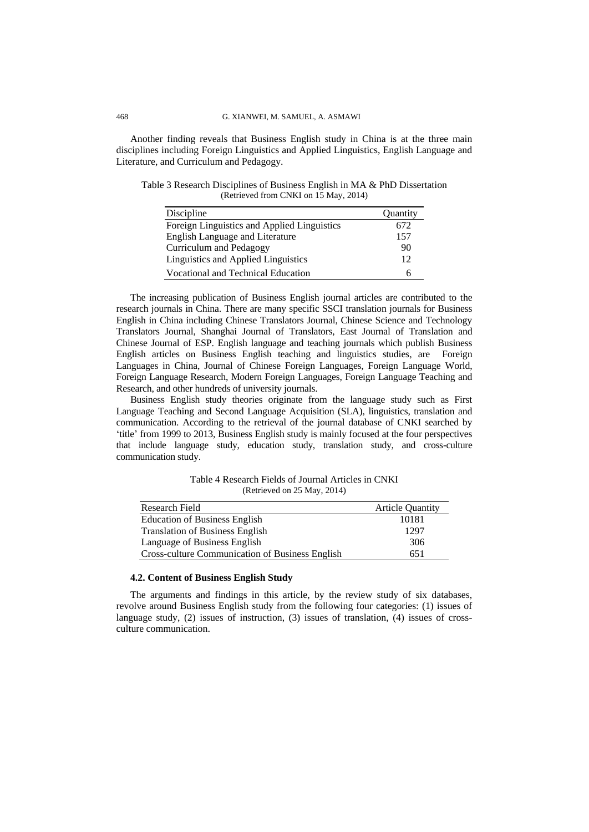Another finding reveals that Business English study in China is at the three main disciplines including Foreign Linguistics and Applied Linguistics, English Language and Literature, and Curriculum and Pedagogy.

| Discipline                                  | <b>Ouantity</b> |
|---------------------------------------------|-----------------|
| Foreign Linguistics and Applied Linguistics | 672             |
| <b>English Language and Literature</b>      | 157             |
| Curriculum and Pedagogy                     | 90              |
| Linguistics and Applied Linguistics         | 12              |
| Vocational and Technical Education          | h               |

Table 3 Research Disciplines of Business English in MA & PhD Dissertation (Retrieved from CNKI on 15 May, 2014)

The increasing publication of Business English journal articles are contributed to the research journals in China. There are many specific SSCI translation journals for Business English in China including Chinese Translators Journal, Chinese Science and Technology Translators Journal, Shanghai Journal of Translators, East Journal of Translation and Chinese Journal of ESP. English language and teaching journals which publish Business English articles on Business English teaching and linguistics studies, are Foreign Languages in China, Journal of Chinese Foreign Languages, Foreign Language World, Foreign Language Research, Modern Foreign Languages, Foreign Language Teaching and Research, and other hundreds of university journals.

Business English study theories originate from the language study such as First Language Teaching and Second Language Acquisition (SLA), linguistics, translation and communication. According to the retrieval of the journal database of CNKI searched by "title" from 1999 to 2013, Business English study is mainly focused at the four perspectives that include language study, education study, translation study, and cross-culture communication study.

Table 4 Research Fields of Journal Articles in CNKI (Retrieved on 25 May, 2014)

| Research Field                                         | <b>Article Quantity</b> |
|--------------------------------------------------------|-------------------------|
| <b>Education of Business English</b>                   | 10181                   |
| <b>Translation of Business English</b>                 | 1297                    |
| Language of Business English                           | 306                     |
| <b>Cross-culture Communication of Business English</b> | 651                     |

# **4.2. Content of Business English Study**

The arguments and findings in this article, by the review study of six databases, revolve around Business English study from the following four categories: (1) issues of language study, (2) issues of instruction, (3) issues of translation, (4) issues of crossculture communication.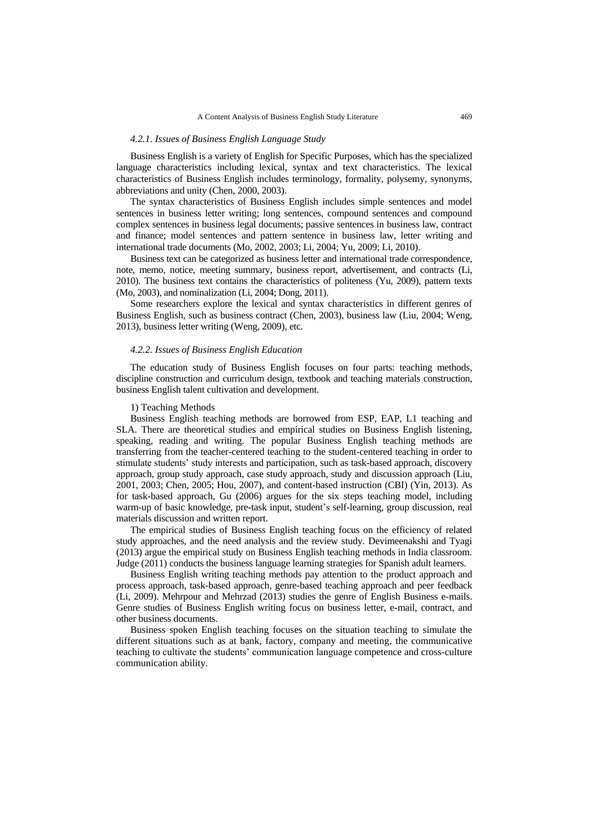### *4.2.1. Issues of Business English Language Study*

Business English is a variety of English for Specific Purposes, which has the specialized language characteristics including lexical, syntax and text characteristics. The lexical characteristics of Business English includes terminology, formality, polysemy, synonyms, abbreviations and unity (Chen, 2000, 2003).

The syntax characteristics of Business English includes simple sentences and model sentences in business letter writing; long sentences, compound sentences and compound complex sentences in business legal documents; passive sentences in business law, contract and finance; model sentences and pattern sentence in business law, letter writing and international trade documents (Mo, 2002, 2003; Li, 2004; Yu, 2009; Li, 2010).

Business text can be categorized as business letter and international trade correspondence, note, memo, notice, meeting summary, business report, advertisement, and contracts (Li, 2010). The business text contains the characteristics of politeness (Yu, 2009), pattern texts (Mo, 2003), and nominalization (Li, 2004; Dong, 2011).

Some researchers explore the lexical and syntax characteristics in different genres of Business English, such as business contract (Chen, 2003), business law (Liu, 2004; Weng, 2013), business letter writing (Weng, 2009), etc.

# *4.2.2. Issues of Business English Education*

The education study of Business English focuses on four parts: teaching methods, discipline construction and curriculum design, textbook and teaching materials construction, business English talent cultivation and development.

# 1) Teaching Methods

Business English teaching methods are borrowed from ESP, EAP, L1 teaching and SLA. There are theoretical studies and empirical studies on Business English listening, speaking, reading and writing. The popular Business English teaching methods are transferring from the teacher-centered teaching to the student-centered teaching in order to stimulate students" study interests and participation, such as task-based approach, discovery approach, group study approach, case study approach, study and discussion approach (Liu, 2001, 2003; Chen, 2005; Hou, 2007), and content-based instruction (CBI) (Yin, 2013). As for task-based approach, Gu (2006) argues for the six steps teaching model, including warm-up of basic knowledge, pre-task input, student"s self-learning, group discussion, real materials discussion and written report.

The empirical studies of Business English teaching focus on the efficiency of related study approaches, and the need analysis and the review study. Devimeenakshi and Tyagi (2013) argue the empirical study on Business English teaching methods in India classroom. Judge (2011) conducts the business language learning strategies for Spanish adult learners.

Business English writing teaching methods pay attention to the product approach and process approach, task-based approach, genre-based teaching approach and peer feedback (Li, 2009). Mehrpour and Mehrzad (2013) studies the genre of English Business e-mails. Genre studies of Business English writing focus on business letter, e-mail, contract, and other business documents.

Business spoken English teaching focuses on the situation teaching to simulate the different situations such as at bank, factory, company and meeting, the communicative teaching to cultivate the students" communication language competence and cross-culture communication ability.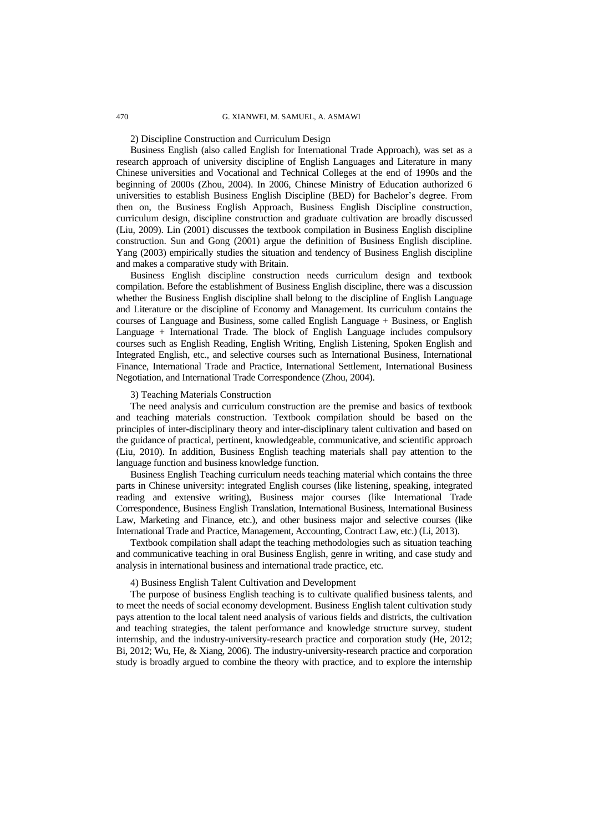### 2) Discipline Construction and Curriculum Design

Business English (also called English for International Trade Approach), was set as a research approach of university discipline of English Languages and Literature in many Chinese universities and Vocational and Technical Colleges at the end of 1990s and the beginning of 2000s (Zhou, 2004). In 2006, Chinese Ministry of Education authorized 6 universities to establish Business English Discipline (BED) for Bachelor"s degree. From then on, the Business English Approach, Business English Discipline construction, curriculum design, discipline construction and graduate cultivation are broadly discussed (Liu, 2009). Lin (2001) discusses the textbook compilation in Business English discipline construction. Sun and Gong (2001) argue the definition of Business English discipline. Yang (2003) empirically studies the situation and tendency of Business English discipline and makes a comparative study with Britain.

Business English discipline construction needs curriculum design and textbook compilation. Before the establishment of Business English discipline, there was a discussion whether the Business English discipline shall belong to the discipline of English Language and Literature or the discipline of Economy and Management. Its curriculum contains the courses of Language and Business, some called English Language + Business, or English Language + International Trade. The block of English Language includes compulsory courses such as English Reading, English Writing, English Listening, Spoken English and Integrated English, etc., and selective courses such as International Business, International Finance, International Trade and Practice, International Settlement, International Business Negotiation, and International Trade Correspondence (Zhou, 2004).

### 3) Teaching Materials Construction

The need analysis and curriculum construction are the premise and basics of textbook and teaching materials construction. Textbook compilation should be based on the principles of inter-disciplinary theory and inter-disciplinary talent cultivation and based on the guidance of practical, pertinent, knowledgeable, communicative, and scientific approach (Liu, 2010). In addition, Business English teaching materials shall pay attention to the language function and business knowledge function.

Business English Teaching curriculum needs teaching material which contains the three parts in Chinese university: integrated English courses (like listening, speaking, integrated reading and extensive writing), Business major courses (like International Trade Correspondence, Business English Translation, International Business, International Business Law, Marketing and Finance, etc.), and other business major and selective courses (like International Trade and Practice, Management, Accounting, Contract Law, etc.) (Li, 2013).

Textbook compilation shall adapt the teaching methodologies such as situation teaching and communicative teaching in oral Business English, genre in writing, and case study and analysis in international business and international trade practice, etc.

### 4) Business English Talent Cultivation and Development

The purpose of business English teaching is to cultivate qualified business talents, and to meet the needs of social economy development. Business English talent cultivation study pays attention to the local talent need analysis of various fields and districts, the cultivation and teaching strategies, the talent performance and knowledge structure survey, student internship, and the industry-university-research practice and corporation study (He, 2012; Bi, 2012; Wu, He, & Xiang, 2006). The industry-university-research practice and corporation study is broadly argued to combine the theory with practice, and to explore the internship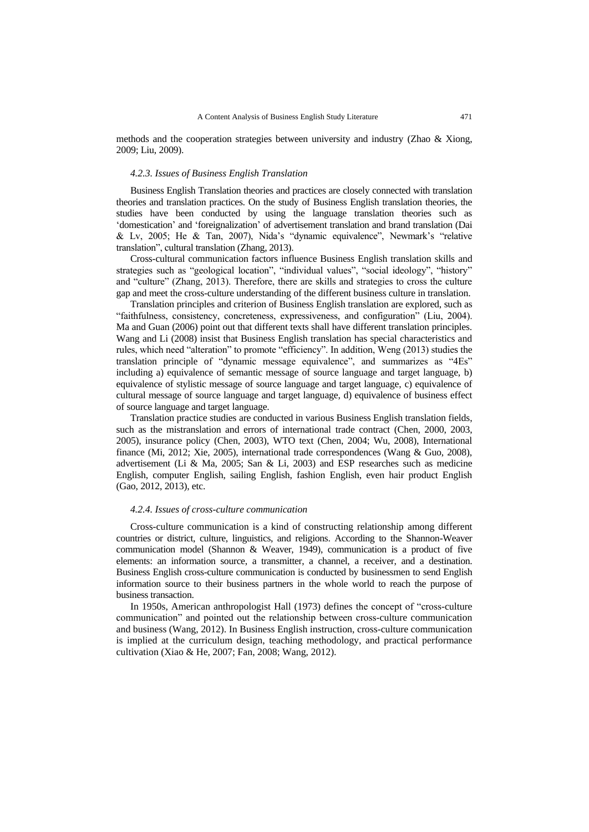methods and the cooperation strategies between university and industry (Zhao & Xiong, 2009; Liu, 2009).

#### *4.2.3. Issues of Business English Translation*

Business English Translation theories and practices are closely connected with translation theories and translation practices. On the study of Business English translation theories, the studies have been conducted by using the language translation theories such as "domestication" and "foreignalization" of advertisement translation and brand translation (Dai & Lv, 2005; He & Tan, 2007), Nida"s "dynamic equivalence", Newmark"s "relative translation", cultural translation (Zhang, 2013).

Cross-cultural communication factors influence Business English translation skills and strategies such as "geological location", "individual values", "social ideology", "history" and "culture" (Zhang, 2013). Therefore, there are skills and strategies to cross the culture gap and meet the cross-culture understanding of the different business culture in translation.

Translation principles and criterion of Business English translation are explored, such as "faithfulness, consistency, concreteness, expressiveness, and configuration" (Liu, 2004). Ma and Guan (2006) point out that different texts shall have different translation principles. Wang and Li (2008) insist that Business English translation has special characteristics and rules, which need "alteration" to promote "efficiency". In addition, Weng (2013) studies the translation principle of "dynamic message equivalence", and summarizes as "4Es" including a) equivalence of semantic message of source language and target language, b) equivalence of stylistic message of source language and target language, c) equivalence of cultural message of source language and target language, d) equivalence of business effect of source language and target language.

Translation practice studies are conducted in various Business English translation fields, such as the mistranslation and errors of international trade contract (Chen, 2000, 2003, 2005), insurance policy (Chen, 2003), WTO text (Chen, 2004; Wu, 2008), International finance (Mi, 2012; Xie, 2005), international trade correspondences (Wang & Guo, 2008), advertisement (Li & Ma, 2005; San & Li, 2003) and ESP researches such as medicine English, computer English, sailing English, fashion English, even hair product English (Gao, 2012, 2013), etc.

#### *4.2.4. Issues of cross-culture communication*

Cross-culture communication is a kind of constructing relationship among different countries or district, culture, linguistics, and religions. According to the Shannon-Weaver communication model (Shannon & Weaver, 1949), communication is a product of five elements: an information source, a transmitter, a channel, a receiver, and a destination. Business English cross-culture communication is conducted by businessmen to send English information source to their business partners in the whole world to reach the purpose of business transaction.

In 1950s, American anthropologist Hall (1973) defines the concept of "cross-culture communication" and pointed out the relationship between cross-culture communication and business (Wang, 2012). In Business English instruction, cross-culture communication is implied at the curriculum design, teaching methodology, and practical performance cultivation (Xiao & He, 2007; Fan, 2008; Wang, 2012).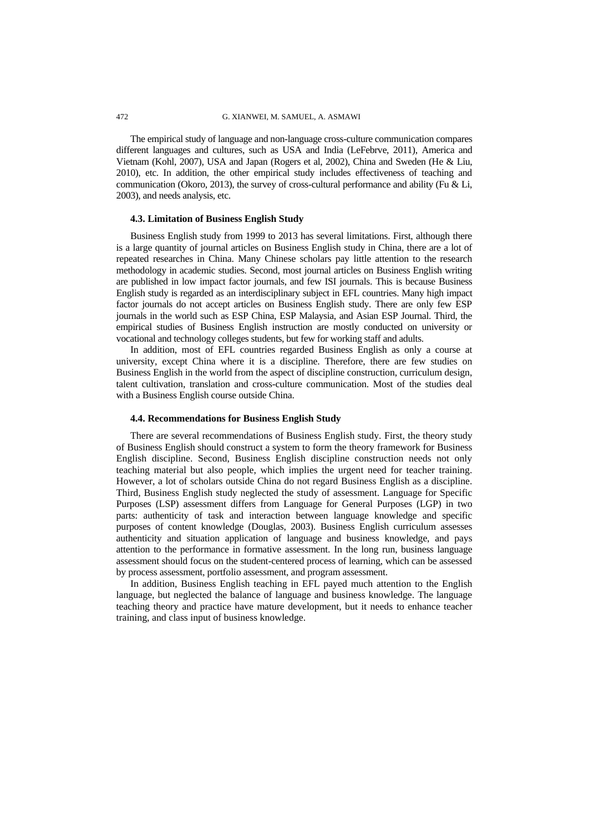The empirical study of language and non-language cross-culture communication compares different languages and cultures, such as USA and India (LeFebrve, 2011), America and Vietnam (Kohl, 2007), USA and Japan (Rogers et al, 2002), China and Sweden (He & Liu, 2010), etc. In addition, the other empirical study includes effectiveness of teaching and communication (Okoro, 2013), the survey of cross-cultural performance and ability (Fu & Li, 2003), and needs analysis, etc.

#### **4.3. Limitation of Business English Study**

Business English study from 1999 to 2013 has several limitations. First, although there is a large quantity of journal articles on Business English study in China, there are a lot of repeated researches in China. Many Chinese scholars pay little attention to the research methodology in academic studies. Second, most journal articles on Business English writing are published in low impact factor journals, and few ISI journals. This is because Business English study is regarded as an interdisciplinary subject in EFL countries. Many high impact factor journals do not accept articles on Business English study. There are only few ESP journals in the world such as ESP China, ESP Malaysia, and Asian ESP Journal. Third, the empirical studies of Business English instruction are mostly conducted on university or vocational and technology colleges students, but few for working staff and adults.

In addition, most of EFL countries regarded Business English as only a course at university, except China where it is a discipline. Therefore, there are few studies on Business English in the world from the aspect of discipline construction, curriculum design, talent cultivation, translation and cross-culture communication. Most of the studies deal with a Business English course outside China.

# **4.4. Recommendations for Business English Study**

There are several recommendations of Business English study. First, the theory study of Business English should construct a system to form the theory framework for Business English discipline. Second, Business English discipline construction needs not only teaching material but also people, which implies the urgent need for teacher training. However, a lot of scholars outside China do not regard Business English as a discipline. Third, Business English study neglected the study of assessment. Language for Specific Purposes (LSP) assessment differs from Language for General Purposes (LGP) in two parts: authenticity of task and interaction between language knowledge and specific purposes of content knowledge (Douglas, 2003). Business English curriculum assesses authenticity and situation application of language and business knowledge, and pays attention to the performance in formative assessment. In the long run, business language assessment should focus on the student-centered process of learning, which can be assessed by process assessment, portfolio assessment, and program assessment.

In addition, Business English teaching in EFL payed much attention to the English language, but neglected the balance of language and business knowledge. The language teaching theory and practice have mature development, but it needs to enhance teacher training, and class input of business knowledge.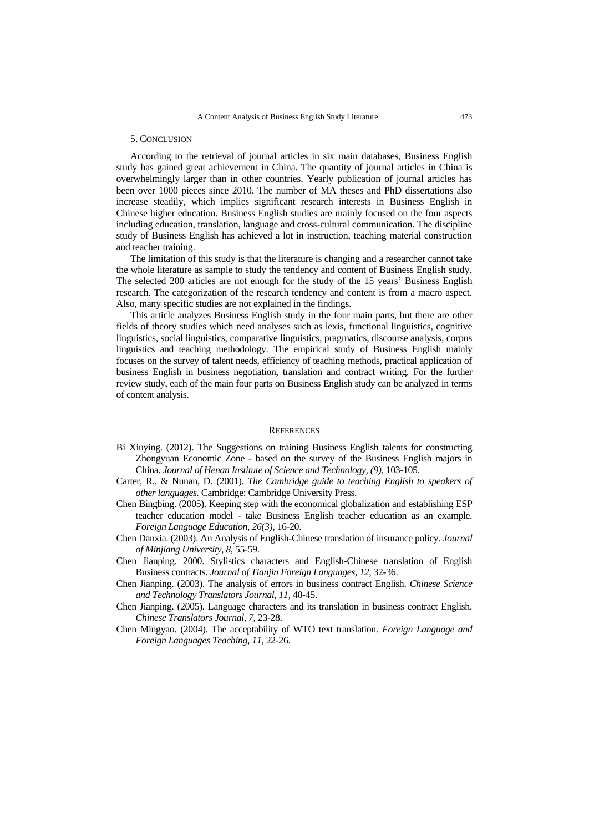### 5. CONCLUSION

According to the retrieval of journal articles in six main databases, Business English study has gained great achievement in China. The quantity of journal articles in China is overwhelmingly larger than in other countries. Yearly publication of journal articles has been over 1000 pieces since 2010. The number of MA theses and PhD dissertations also increase steadily, which implies significant research interests in Business English in Chinese higher education. Business English studies are mainly focused on the four aspects including education, translation, language and cross-cultural communication. The discipline study of Business English has achieved a lot in instruction, teaching material construction and teacher training.

The limitation of this study is that the literature is changing and a researcher cannot take the whole literature as sample to study the tendency and content of Business English study. The selected 200 articles are not enough for the study of the 15 years' Business English research. The categorization of the research tendency and content is from a macro aspect. Also, many specific studies are not explained in the findings.

This article analyzes Business English study in the four main parts, but there are other fields of theory studies which need analyses such as lexis, functional linguistics, cognitive linguistics, social linguistics, comparative linguistics, pragmatics, discourse analysis, corpus linguistics and teaching methodology. The empirical study of Business English mainly focuses on the survey of talent needs, efficiency of teaching methods, practical application of business English in business negotiation, translation and contract writing. For the further review study, each of the main four parts on Business English study can be analyzed in terms of content analysis.

#### **REFERENCES**

- Bi Xiuying. (2012). The Suggestions on training Business English talents for constructing Zhongyuan Economic Zone - based on the survey of the Business English majors in China. *Journal of Henan Institute of Science and Technology, (9),* 103-105.
- Carter, R., & Nunan, D. (2001). *The Cambridge guide to teaching English to speakers of other languages.* Cambridge: Cambridge University Press.
- Chen Bingbing. (2005). Keeping step with the economical globalization and establishing ESP teacher education model - take Business English teacher education as an example. *Foreign Language Education, 26(3),* 16-20.
- Chen Danxia. (2003). An Analysis of English-Chinese translation of insurance policy. *Journal of Minjiang University, 8,* 55-59.
- Chen Jianping. 2000. Stylistics characters and English-Chinese translation of English Business contracts. *Journal of Tianjin Foreign Languages, 12,* 32-36.
- Chen Jianping. (2003). The analysis of errors in business contract English. *Chinese Science and Technology Translators Journal, 11,* 40-45.
- Chen Jianping. (2005). Language characters and its translation in business contract English. *Chinese Translators Journal, 7,* 23-28.
- Chen Mingyao. (2004). The acceptability of WTO text translation. *Foreign Language and Foreign Languages Teaching, 11,* 22-26.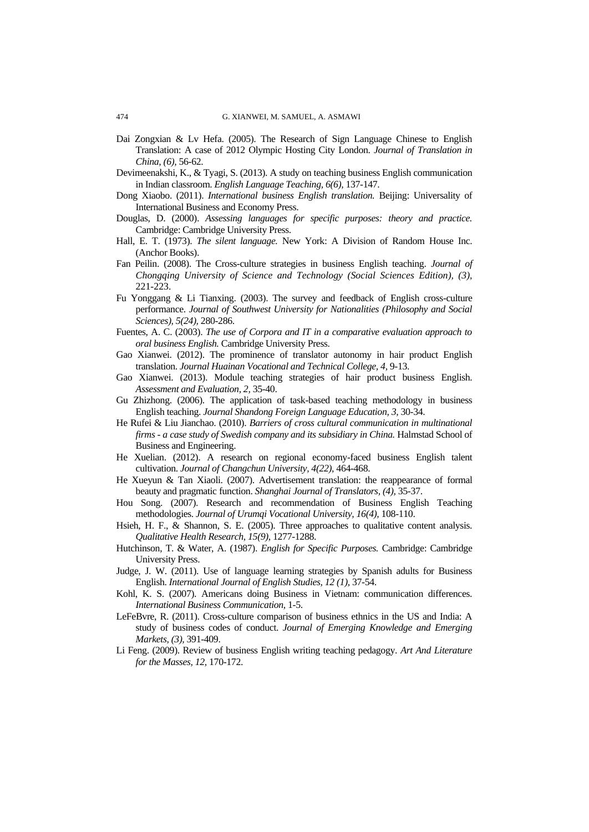- Dai Zongxian & Lv Hefa. (2005). The Research of Sign Language Chinese to English Translation: A case of 2012 Olympic Hosting City London. *Journal of Translation in China, (6),* 56-62.
- Devimeenakshi, K., & Tyagi, S. (2013). A study on teaching business English communication in Indian classroom. *English Language Teaching, 6(6),* 137-147.
- Dong Xiaobo. (2011). *International business English translation.* Beijing: Universality of International Business and Economy Press.
- Douglas, D. (2000). *Assessing languages for specific purposes: theory and practice.*  Cambridge: Cambridge University Press.
- Hall, E. T. (1973). *The silent language.* New York: A Division of Random House Inc. (Anchor Books).
- Fan Peilin. (2008). The Cross-culture strategies in business English teaching. *Journal of Chongqing University of Science and Technology (Social Sciences Edition), (3),* 221-223.
- Fu Yonggang & Li Tianxing. (2003). The survey and feedback of English cross-culture performance. *Journal of Southwest University for Nationalities (Philosophy and Social Sciences), 5(24),* 280-286.
- Fuentes, A. C. (2003). *The use of Corpora and IT in a comparative evaluation approach to oral business English.* Cambridge University Press.
- Gao Xianwei. (2012). The prominence of translator autonomy in hair product English translation. *Journal Huainan Vocational and Technical College, 4,* 9-13.
- Gao Xianwei. (2013). Module teaching strategies of hair product business English. *Assessment and Evaluation, 2,* 35-40.
- Gu Zhizhong. (2006). The application of task-based teaching methodology in business English teaching. *Journal Shandong Foreign Language Education, 3,* 30-34.
- He Rufei & Liu Jianchao. (2010). *Barriers of cross cultural communication in multinational firms - a case study of Swedish company and its subsidiary in China.* Halmstad School of Business and Engineering.
- He Xuelian. (2012). A research on regional economy-faced business English talent cultivation. *Journal of Changchun University, 4(22),* 464-468.
- He Xueyun & Tan Xiaoli. (2007). Advertisement translation: the reappearance of formal beauty and pragmatic function. *Shanghai Journal of Translators, (4),* 35-37.
- Hou Song. (2007). Research and recommendation of Business English Teaching methodologies. *Journal of Urumqi Vocational University, 16(4),* 108-110.
- Hsieh, H. F., & Shannon, S. E. (2005). Three approaches to qualitative content analysis. *Qualitative Health Research, 15(9),* 1277-1288.
- Hutchinson, T. & Water, A. (1987). *English for Specific Purposes.* Cambridge: Cambridge University Press.
- Judge, J. W. (2011). Use of language learning strategies by Spanish adults for Business English. *International Journal of English Studies, 12 (1),* 37-54.
- Kohl, K. S. (2007). Americans doing Business in Vietnam: communication differences. *International Business Communication,* 1-5.
- LeFeBvre, R. (2011). Cross-culture comparison of business ethnics in the US and India: A study of business codes of conduct. *Journal of Emerging Knowledge and Emerging Markets, (3),* 391-409.
- Li Feng. (2009). Review of business English writing teaching pedagogy. *Art And Literature for the Masses, 12,* 170-172.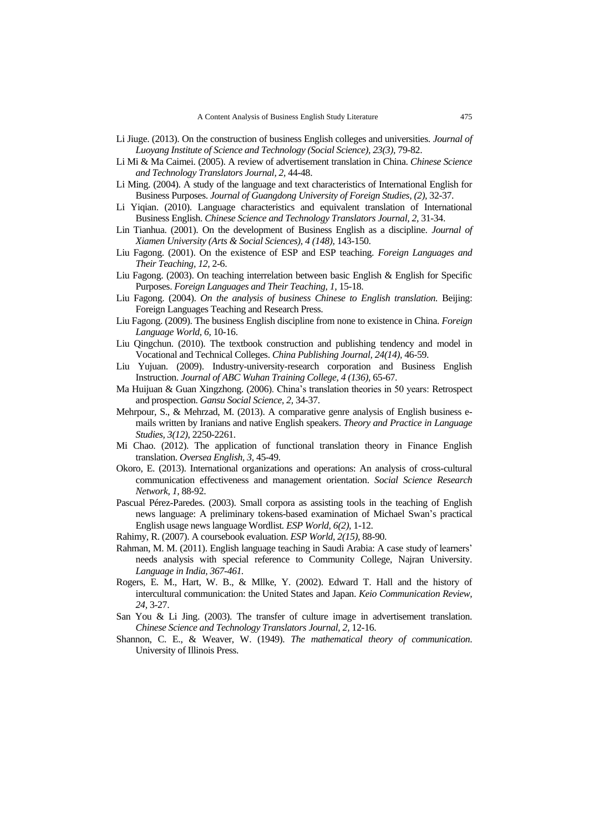- Li Jiuge. (2013). On the construction of business English colleges and universities. *Journal of Luoyang Institute of Science and Technology (Social Science), 23(3),* 79-82.
- Li Mi & Ma Caimei. (2005). A review of advertisement translation in China. *Chinese Science and Technology Translators Journal, 2,* 44-48.
- Li Ming. (2004). A study of the language and text characteristics of International English for Business Purposes. *Journal of Guangdong University of Foreign Studies, (2),* 32-37.
- Li Yiqian. (2010). Language characteristics and equivalent translation of International Business English. *Chinese Science and Technology Translators Journal, 2,* 31-34.
- Lin Tianhua. (2001). On the development of Business English as a discipline. *Journal of Xiamen University (Arts & Social Sciences), 4 (148),* 143-150.
- Liu Fagong. (2001). On the existence of ESP and ESP teaching. *Foreign Languages and Their Teaching, 12,* 2-6.
- Liu Fagong. (2003). On teaching interrelation between basic English & English for Specific Purposes. *Foreign Languages and Their Teaching, 1,* 15-18.
- Liu Fagong. (2004). *On the analysis of business Chinese to English translation.* Beijing: Foreign Languages Teaching and Research Press.
- Liu Fagong. (2009). The business English discipline from none to existence in China. *Foreign Language World, 6,* 10-16.
- Liu Qingchun. (2010). The textbook construction and publishing tendency and model in Vocational and Technical Colleges. *China Publishing Journal, 24(14),* 46-59.
- Liu Yujuan. (2009). Industry-university-research corporation and Business English Instruction. *Journal of ABC Wuhan Training College, 4 (136),* 65-67.
- Ma Huijuan & Guan Xingzhong. (2006). China"s translation theories in 50 years: Retrospect and prospection. *Gansu Social Science, 2,* 34-37.
- Mehrpour, S., & Mehrzad, M. (2013). A comparative genre analysis of English business emails written by Iranians and native English speakers. *Theory and Practice in Language Studies, 3(12)*, 2250-2261.
- Mi Chao. (2012). The application of functional translation theory in Finance English translation. *Oversea English, 3,* 45-49.
- Okoro, E. (2013). International organizations and operations: An analysis of cross-cultural communication effectiveness and management orientation. *Social Science Research Network, 1,* 88-92.
- Pascual Pérez-Paredes. (2003). Small corpora as assisting tools in the teaching of English news language: A preliminary tokens-based examination of Michael Swan"s practical English usage news language Wordlist. *ESP World, 6(2),* 1-12.
- Rahimy, R. (2007). A coursebook evaluation. *ESP World, 2(15),* 88-90.
- Rahman, M. M. (2011). English language teaching in Saudi Arabia: A case study of learners" needs analysis with special reference to Community College, Najran University. *Language in India, 367-461.*
- Rogers, E. M., Hart, W. B., & Mllke, Y. (2002). Edward T. Hall and the history of intercultural communication: the United States and Japan. *Keio Communication Review, 24,* 3-27.
- San You & Li Jing. (2003). The transfer of culture image in advertisement translation. *Chinese Science and Technology Translators Journal, 2,* 12-16.
- Shannon, C. E., & Weaver, W. (1949). *The mathematical theory of communication*. University of Illinois Press.